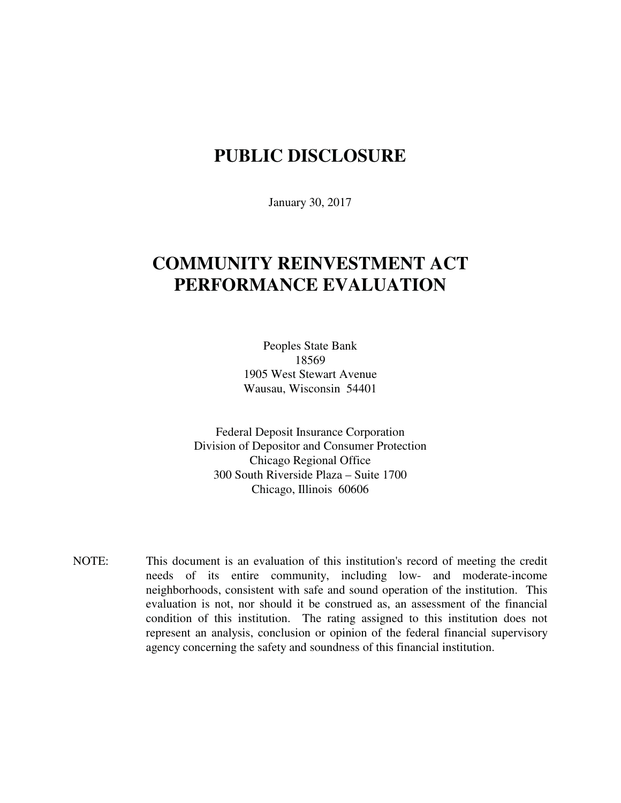## **PUBLIC DISCLOSURE**

January 30, 2017

# **COMMUNITY REINVESTMENT ACT PERFORMANCE EVALUATION**

Peoples State Bank 18569 1905 West Stewart Avenue Wausau, Wisconsin 54401

Federal Deposit Insurance Corporation Division of Depositor and Consumer Protection Chicago Regional Office 300 South Riverside Plaza – Suite 1700 Chicago, Illinois 60606

NOTE: This document is an evaluation of this institution's record of meeting the credit needs of its entire community, including low- and moderate-income neighborhoods, consistent with safe and sound operation of the institution.This evaluation is not, nor should it be construed as, an assessment of the financial condition of this institution. The rating assigned to this institution does not represent an analysis, conclusion or opinion of the federal financial supervisory agency concerning the safety and soundness of this financial institution.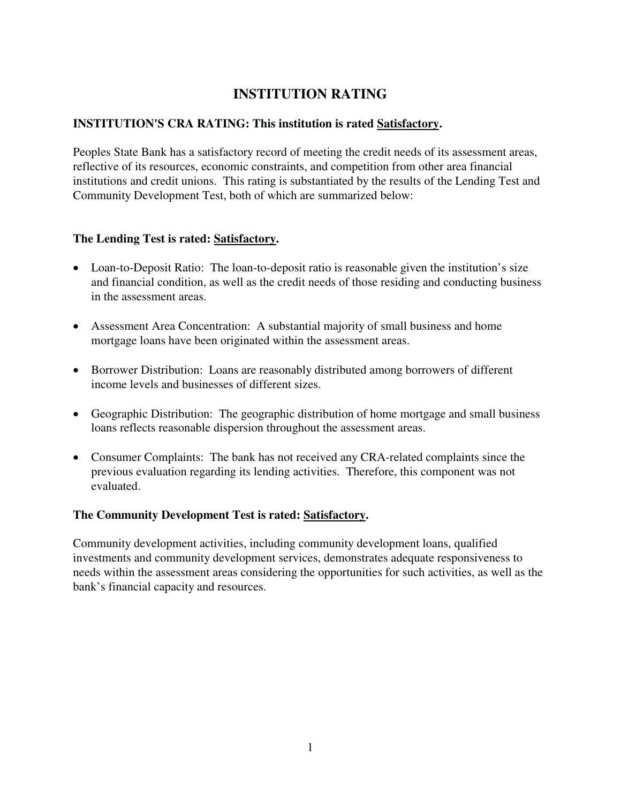### **INSTITUTION RATING**

#### **INSTITUTION'S CRA RATING: This institution is rated Satisfactory.**

Peoples State Bank has a satisfactory record of meeting the credit needs of its assessment areas, reflective of its resources, economic constraints, and competition from other area financial institutions and credit unions. This rating is substantiated by the results of the Lending Test and Community Development Test, both of which are summarized below:

#### **The Lending Test is rated: Satisfactory.**

- Loan-to-Deposit Ratio: The loan-to-deposit ratio is reasonable given the institution's size and financial condition, as well as the credit needs of those residing and conducting business in the assessment areas.
- Assessment Area Concentration: A substantial majority of small business and home mortgage loans have been originated within the assessment areas.
- Borrower Distribution: Loans are reasonably distributed among borrowers of different income levels and businesses of different sizes.
- Geographic Distribution: The geographic distribution of home mortgage and small business loans reflects reasonable dispersion throughout the assessment areas.
- Consumer Complaints: The bank has not received any CRA-related complaints since the previous evaluation regarding its lending activities. Therefore, this component was not evaluated.

#### **The Community Development Test is rated: Satisfactory.**

Community development activities, including community development loans, qualified investments and community development services, demonstrates adequate responsiveness to needs within the assessment areas considering the opportunities for such activities, as well as the bank's financial capacity and resources.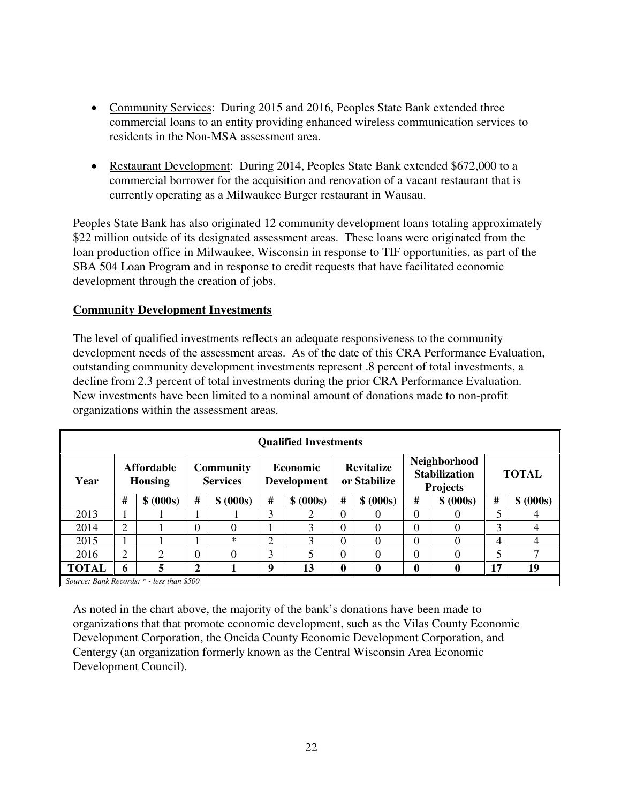- Community Services: During 2015 and 2016, Peoples State Bank extended three commercial loans to an entity providing enhanced wireless communication services to residents in the Non-MSA assessment area.
- Restaurant Development: During 2014, Peoples State Bank extended \$672,000 to a commercial borrower for the acquisition and renovation of a vacant restaurant that is currently operating as a Milwaukee Burger restaurant in Wausau.

Peoples State Bank has also originated 12 community development loans totaling approximately \$22 million outside of its designated assessment areas. These loans were originated from the loan production office in Milwaukee, Wisconsin in response to TIF opportunities, as part of the SBA 504 Loan Program and in response to credit requests that have facilitated economic development through the creation of jobs.

#### **Community Development Investments**

The level of qualified investments reflects an adequate responsiveness to the community development needs of the assessment areas. As of the date of this CRA Performance Evaluation, outstanding community development investments represent .8 percent of total investments, a decline from 2.3 percent of total investments during the prior CRA Performance Evaluation. New investments have been limited to a nominal amount of donations made to non-profit organizations within the assessment areas.

| <b>Qualified Investments</b>              |                                     |                             |                              |           |                                       |               |                                   |              |                                                         |           |              |           |
|-------------------------------------------|-------------------------------------|-----------------------------|------------------------------|-----------|---------------------------------------|---------------|-----------------------------------|--------------|---------------------------------------------------------|-----------|--------------|-----------|
| Year                                      | <b>Affordable</b><br><b>Housing</b> |                             | Community<br><b>Services</b> |           | <b>Economic</b><br><b>Development</b> |               | <b>Revitalize</b><br>or Stabilize |              | Neighborhood<br><b>Stabilization</b><br><b>Projects</b> |           | <b>TOTAL</b> |           |
|                                           | #                                   | \$ (000s)                   | #                            | \$ (000s) | #                                     | \$ (000s)     | #                                 | \$ (000s)    | #                                                       | \$ (000s) | #            | \$ (000s) |
| 2013                                      |                                     |                             |                              |           | 3                                     | ာ             | $\Omega$                          |              | $\Omega$                                                |           | ς            |           |
| 2014                                      | 2                                   |                             | $\overline{0}$               |           |                                       | 3             | $\Omega$                          |              | $\Omega$                                                |           | 3            |           |
| 2015                                      |                                     |                             |                              | $\ast$    | 2                                     | 3             | $\Omega$                          | 0            | $\Omega$                                                | $\Omega$  | 4            |           |
| 2016                                      | 2                                   | $\mathcal{D}_{\mathcal{L}}$ | $\Omega$                     | 0         | 3                                     | $\mathcal{F}$ | $\Omega$                          | 0            | $\theta$                                                | 0         | 5            |           |
| <b>TOTAL</b>                              | 6                                   | 5                           | $\overline{2}$               |           | 9                                     | 13            | $\boldsymbol{0}$                  | $\mathbf{0}$ | 0                                                       | 0         | 17           | 19        |
| Source: Bank Records: * - less than \$500 |                                     |                             |                              |           |                                       |               |                                   |              |                                                         |           |              |           |

As noted in the chart above, the majority of the bank's donations have been made to organizations that that promote economic development, such as the Vilas County Economic Development Corporation, the Oneida County Economic Development Corporation, and Centergy (an organization formerly known as the Central Wisconsin Area Economic Development Council).